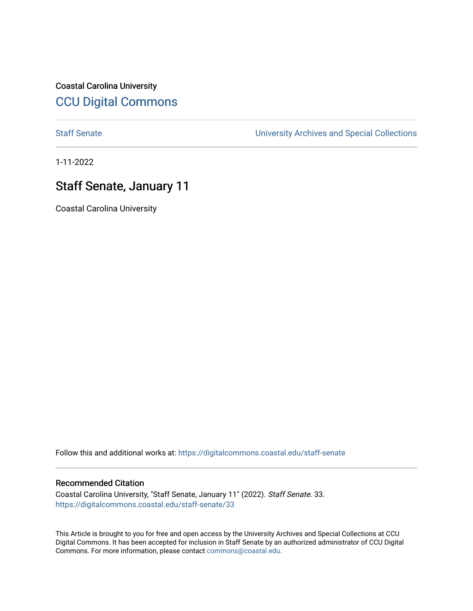Coastal Carolina University [CCU Digital Commons](https://digitalcommons.coastal.edu/) 

[Staff Senate](https://digitalcommons.coastal.edu/staff-senate) [University Archives and Special Collections](https://digitalcommons.coastal.edu/archives) 

1-11-2022

# Staff Senate, January 11

Coastal Carolina University

Follow this and additional works at: [https://digitalcommons.coastal.edu/staff-senate](https://digitalcommons.coastal.edu/staff-senate?utm_source=digitalcommons.coastal.edu%2Fstaff-senate%2F33&utm_medium=PDF&utm_campaign=PDFCoverPages)

# Recommended Citation

Coastal Carolina University, "Staff Senate, January 11" (2022). Staff Senate. 33. [https://digitalcommons.coastal.edu/staff-senate/33](https://digitalcommons.coastal.edu/staff-senate/33?utm_source=digitalcommons.coastal.edu%2Fstaff-senate%2F33&utm_medium=PDF&utm_campaign=PDFCoverPages) 

This Article is brought to you for free and open access by the University Archives and Special Collections at CCU Digital Commons. It has been accepted for inclusion in Staff Senate by an authorized administrator of CCU Digital Commons. For more information, please contact [commons@coastal.edu.](mailto:commons@coastal.edu)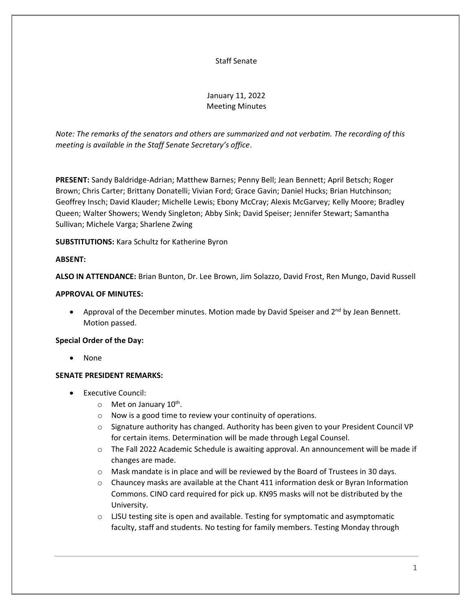#### Staff Senate

# January 11, 2022 Meeting Minutes

*Note: The remarks of the senators and others are summarized and not verbatim. The recording of this meeting is available in the Staff Senate Secretary's office*.

**PRESENT:** Sandy Baldridge-Adrian; Matthew Barnes; Penny Bell; Jean Bennett; April Betsch; Roger Brown; Chris Carter; Brittany Donatelli; Vivian Ford; Grace Gavin; Daniel Hucks; Brian Hutchinson; Geoffrey Insch; David Klauder; Michelle Lewis; Ebony McCray; Alexis McGarvey; Kelly Moore; Bradley Queen; Walter Showers; Wendy Singleton; Abby Sink; David Speiser; Jennifer Stewart; Samantha Sullivan; Michele Varga; Sharlene Zwing

**SUBSTITUTIONS:** Kara Schultz for Katherine Byron

#### **ABSENT:**

**ALSO IN ATTENDANCE:** Brian Bunton, Dr. Lee Brown, Jim Solazzo, David Frost, Ren Mungo, David Russell

#### **APPROVAL OF MINUTES:**

• Approval of the December minutes. Motion made by David Speiser and  $2^{nd}$  by Jean Bennett. Motion passed.

#### **Special Order of the Day:**

• None

#### **SENATE PRESIDENT REMARKS:**

- Executive Council:
	- o Met on January 10<sup>th</sup>.
	- o Now is a good time to review your continuity of operations.
	- o Signature authority has changed. Authority has been given to your President Council VP for certain items. Determination will be made through Legal Counsel.
	- o The Fall 2022 Academic Schedule is awaiting approval. An announcement will be made if changes are made.
	- $\circ$  Mask mandate is in place and will be reviewed by the Board of Trustees in 30 days.
	- $\circ$  Chauncey masks are available at the Chant 411 information desk or Byran Information Commons. CINO card required for pick up. KN95 masks will not be distributed by the University.
	- $\circ$  LJSU testing site is open and available. Testing for symptomatic and asymptomatic faculty, staff and students. No testing for family members. Testing Monday through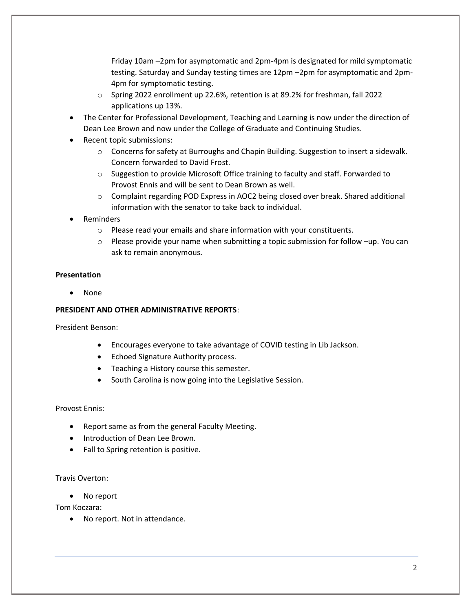Friday 10am –2pm for asymptomatic and 2pm-4pm is designated for mild symptomatic testing. Saturday and Sunday testing times are 12pm –2pm for asymptomatic and 2pm-4pm for symptomatic testing.

- o Spring 2022 enrollment up 22.6%, retention is at 89.2% for freshman, fall 2022 applications up 13%.
- The Center for Professional Development, Teaching and Learning is now under the direction of Dean Lee Brown and now under the College of Graduate and Continuing Studies.
- Recent topic submissions:
	- $\circ$  Concerns for safety at Burroughs and Chapin Building. Suggestion to insert a sidewalk. Concern forwarded to David Frost.
	- o Suggestion to provide Microsoft Office training to faculty and staff. Forwarded to Provost Ennis and will be sent to Dean Brown as well.
	- $\circ$  Complaint regarding POD Express in AOC2 being closed over break. Shared additional information with the senator to take back to individual.
- **Reminders** 
	- o Please read your emails and share information with your constituents.
	- $\circ$  Please provide your name when submitting a topic submission for follow -up. You can ask to remain anonymous.

#### **Presentation**

• None

#### **PRESIDENT AND OTHER ADMINISTRATIVE REPORTS**:

President Benson:

- Encourages everyone to take advantage of COVID testing in Lib Jackson.
- Echoed Signature Authority process.
- Teaching a History course this semester.
- South Carolina is now going into the Legislative Session.

#### Provost Ennis:

- Report same as from the general Faculty Meeting.
- Introduction of Dean Lee Brown.
- Fall to Spring retention is positive.

#### Travis Overton:

• No report

Tom Koczara:

• No report. Not in attendance.